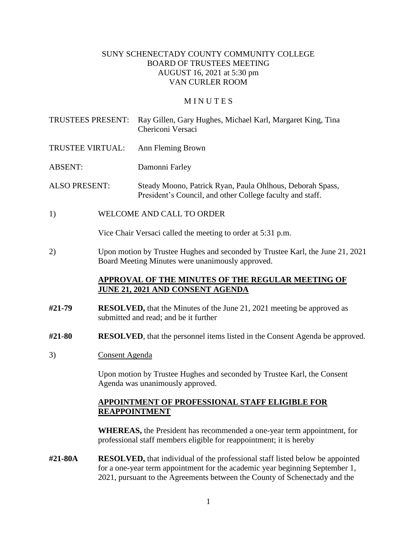#### SUNY SCHENECTADY COUNTY COMMUNITY COLLEGE BOARD OF TRUSTEES MEETING AUGUST 16, 2021 at 5:30 pm VAN CURLER ROOM

#### **MINUTES**

- TRUSTEES PRESENT: Ray Gillen, Gary Hughes, Michael Karl, Margaret King, Tina Chericoni Versaci
- TRUSTEE VIRTUAL: Ann Fleming Brown
- ABSENT: Damonni Farley

ALSO PRESENT: Steady Moono, Patrick Ryan, Paula Ohlhous, Deborah Spass, President's Council, and other College faculty and staff.

1) WELCOME AND CALL TO ORDER

Vice Chair Versaci called the meeting to order at 5:31 p.m.

 2) Upon motion by Trustee Hughes and seconded by Trustee Karl, the June 21, 2021 Board Meeting Minutes were unanimously approved.

#### **APPROVAL OF THE MINUTES OF THE REGULAR MEETING OF JUNE 21, 2021 AND CONSENT AGENDA**

- **#21-79 RESOLVED,** that the Minutes of the June 21, 2021 meeting be approved as submitted and read; and be it further
- **#21-80 RESOLVED**, that the personnel items listed in the Consent Agenda be approved.
- 3) Consent Agenda

 Upon motion by Trustee Hughes and seconded by Trustee Karl, the Consent Agenda was unanimously approved.

#### **APPOINTMENT OF PROFESSIONAL STAFF ELIGIBLE FOR REAPPOINTMENT**

**WHEREAS,** the President has recommended a one-year term appointment, for professional staff members eligible for reappointment; it is hereby

**#21-80A RESOLVED,** that individual of the professional staff listed below be appointed for a one-year term appointment for the academic year beginning September 1, 2021, pursuant to the Agreements between the County of Schenectady and the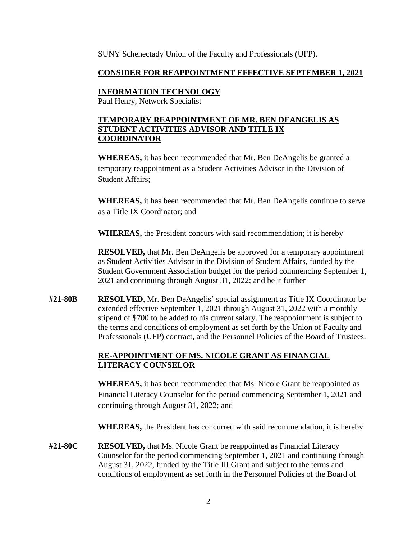SUNY Schenectady Union of the Faculty and Professionals (UFP).

# **CONSIDER FOR REAPPOINTMENT EFFECTIVE SEPTEMBER 1, 2021**

# **INFORMATION TECHNOLOGY**

Paul Henry, Network Specialist

# **TEMPORARY REAPPOINTMENT OF MR. BEN DEANGELIS AS STUDENT ACTIVITIES ADVISOR AND TITLE IX COORDINATOR**

**WHEREAS,** it has been recommended that Mr. Ben DeAngelis be granted a temporary reappointment as a Student Activities Advisor in the Division of Student Affairs;

**WHEREAS,** it has been recommended that Mr. Ben DeAngelis continue to serve as a Title IX Coordinator; and

**WHEREAS,** the President concurs with said recommendation; it is hereby

**RESOLVED,** that Mr. Ben DeAngelis be approved for a temporary appointment as Student Activities Advisor in the Division of Student Affairs, funded by the Student Government Association budget for the period commencing September 1, 2021 and continuing through August 31, 2022; and be it further

**#21-80B RESOLVED**, Mr. Ben DeAngelis' special assignment as Title IX Coordinator be extended effective September 1, 2021 through August 31, 2022 with a monthly stipend of \$700 to be added to his current salary. The reappointment is subject to the terms and conditions of employment as set forth by the Union of Faculty and Professionals (UFP) contract, and the Personnel Policies of the Board of Trustees.

# **RE-APPOINTMENT OF MS. NICOLE GRANT AS FINANCIAL LITERACY COUNSELOR**

**WHEREAS,** it has been recommended that Ms. Nicole Grant be reappointed as Financial Literacy Counselor for the period commencing September 1, 2021 and continuing through August 31, 2022; and

**WHEREAS,** the President has concurred with said recommendation, it is hereby

 August 31, 2022, funded by the Title III Grant and subject to the terms and **#21-80C RESOLVED,** that Ms. Nicole Grant be reappointed as Financial Literacy Counselor for the period commencing September 1, 2021 and continuing through conditions of employment as set forth in the Personnel Policies of the Board of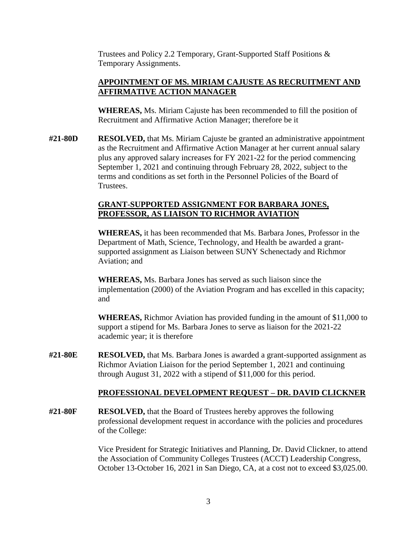Trustees and Policy 2.2 Temporary, Grant-Supported Staff Positions & Temporary Assignments.

# **APPOINTMENT OF MS. MIRIAM CAJUSTE AS RECRUITMENT AND AFFIRMATIVE ACTION MANAGER**

**WHEREAS,** Ms. Miriam Cajuste has been recommended to fill the position of Recruitment and Affirmative Action Manager; therefore be it

**#21-80D RESOLVED,** that Ms. Miriam Cajuste be granted an administrative appointment as the Recruitment and Affirmative Action Manager at her current annual salary plus any approved salary increases for FY 2021-22 for the period commencing September 1, 2021 and continuing through February 28, 2022, subject to the terms and conditions as set forth in the Personnel Policies of the Board of Trustees.

# **GRANT-SUPPORTED ASSIGNMENT FOR BARBARA JONES, PROFESSOR, AS LIAISON TO RICHMOR AVIATION**

**WHEREAS,** it has been recommended that Ms. Barbara Jones, Professor in the Department of Math, Science, Technology, and Health be awarded a grantsupported assignment as Liaison between SUNY Schenectady and Richmor Aviation; and

**WHEREAS,** Ms. Barbara Jones has served as such liaison since the implementation (2000) of the Aviation Program and has excelled in this capacity; and

**WHEREAS,** Richmor Aviation has provided funding in the amount of \$11,000 to support a stipend for Ms. Barbara Jones to serve as liaison for the 2021-22 academic year; it is therefore

**#21-80E RESOLVED,** that Ms. Barbara Jones is awarded a grant-supported assignment as Richmor Aviation Liaison for the period September 1, 2021 and continuing through August 31, 2022 with a stipend of \$11,000 for this period.

#### **PROFESSIONAL DEVELOPMENT REQUEST – DR. DAVID CLICKNER**

**#21-80F RESOLVED,** that the Board of Trustees hereby approves the following professional development request in accordance with the policies and procedures of the College:

> Vice President for Strategic Initiatives and Planning, Dr. David Clickner, to attend the Association of Community Colleges Trustees (ACCT) Leadership Congress, October 13-October 16, 2021 in San Diego, CA, at a cost not to exceed \$[3,025.00](https://3,025.00).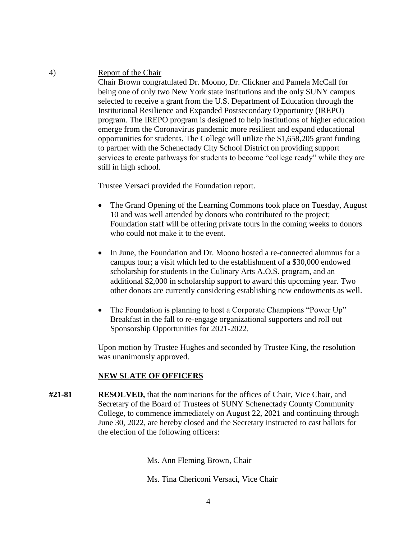4) Report of the Chair

 services to create pathways for students to become "college ready" while they are Chair Brown congratulated Dr. Moono, Dr. Clickner and Pamela McCall for being one of only two New York state institutions and the only SUNY campus selected to receive a grant from the U.S. Department of Education through the Institutional Resilience and Expanded Postsecondary Opportunity (IREPO) program. The IREPO program is designed to help institutions of higher education emerge from the Coronavirus pandemic more resilient and expand educational opportunities for students. The College will utilize the \$1,658,205 grant funding to partner with the Schenectady City School District on providing support still in high school.

Trustee Versaci provided the Foundation report.

- The Grand Opening of the Learning Commons took place on Tuesday, August 10 and was well attended by donors who contributed to the project; Foundation staff will be offering private tours in the coming weeks to donors who could not make it to the event.
- In June, the Foundation and Dr. Moono hosted a re-connected alumnus for a campus tour; a visit which led to the establishment of a \$30,000 endowed scholarship for students in the Culinary Arts A.O.S. program, and an additional \$2,000 in scholarship support to award this upcoming year. Two other donors are currently considering establishing new endowments as well.
- The Foundation is planning to host a Corporate Champions "Power Up" Breakfast in the fall to re-engage organizational supporters and roll out Sponsorship Opportunities for 2021-2022.

Upon motion by Trustee Hughes and seconded by Trustee King, the resolution was unanimously approved.

#### **NEW SLATE OF OFFICERS**

**#21-81 RESOLVED,** that the nominations for the offices of Chair, Vice Chair, and Secretary of the Board of Trustees of SUNY Schenectady County Community College, to commence immediately on August 22, 2021 and continuing through June 30, 2022, are hereby closed and the Secretary instructed to cast ballots for the election of the following officers:

Ms. Ann Fleming Brown, Chair

Ms. Tina Chericoni Versaci, Vice Chair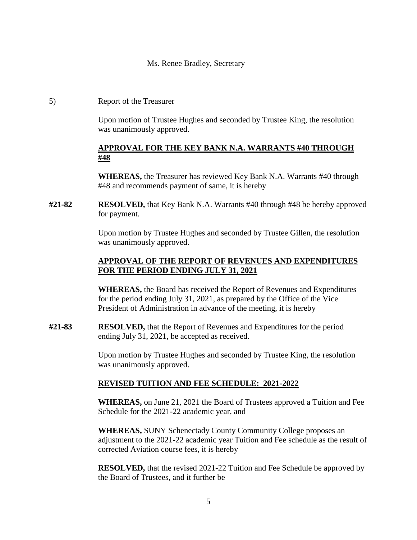#### Ms. Renee Bradley, Secretary

#### 5) Report of the Treasurer

 Upon motion of Trustee Hughes and seconded by Trustee King, the resolution was unanimously approved.

## **APPROVAL FOR THE KEY BANK N.A. WARRANTS #40 THROUGH #48**

**WHEREAS,** the Treasurer has reviewed Key Bank N.A. Warrants #40 through #48 and recommends payment of same, it is hereby

**#21-82 RESOLVED,** that Key Bank N.A. Warrants #40 through #48 be hereby approved for payment.

> Upon motion by Trustee Hughes and seconded by Trustee Gillen, the resolution was unanimously approved.

## **APPROVAL OF THE REPORT OF REVENUES AND EXPENDITURES FOR THE PERIOD ENDING JULY 31, 2021**

**WHEREAS,** the Board has received the Report of Revenues and Expenditures for the period ending July 31, 2021, as prepared by the Office of the Vice President of Administration in advance of the meeting, it is hereby

**#21-83 RESOLVED,** that the Report of Revenues and Expenditures for the period ending July 31, 2021, be accepted as received.

> Upon motion by Trustee Hughes and seconded by Trustee King, the resolution was unanimously approved.

#### **REVISED TUITION AND FEE SCHEDULE: 2021-2022**

**WHEREAS,** on June 21, 2021 the Board of Trustees approved a Tuition and Fee Schedule for the 2021-22 academic year, and

**WHEREAS,** SUNY Schenectady County Community College proposes an adjustment to the 2021-22 academic year Tuition and Fee schedule as the result of corrected Aviation course fees, it is hereby

**RESOLVED,** that the revised 2021-22 Tuition and Fee Schedule be approved by the Board of Trustees, and it further be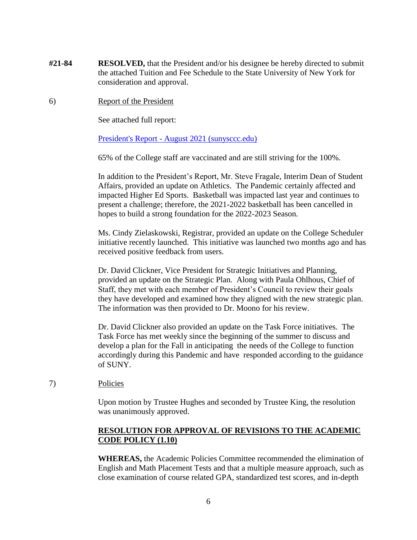- **#21-84 RESOLVED,** that the President and/or his designee be hereby directed to submit the attached Tuition and Fee Schedule to the State University of New York for consideration and approval.
- 6) Report of the President

See attached full report:

President's Report - August 2021 (sunysccc.edu)

65% of the College staff are vaccinated and are still striving for the 100%.

In addition to the President's Report, Mr. Steve Fragale, Interim Dean of Student Affairs, provided an update on Athletics. The Pandemic certainly affected and impacted Higher Ed Sports. Basketball was impacted last year and continues to present a challenge; therefore, the 2021-2022 basketball has been cancelled in hopes to build a strong foundation for the 2022-2023 Season.

Ms. Cindy Zielaskowski, Registrar, provided an update on the College Scheduler initiative recently launched. This initiative was launched two months ago and has received positive feedback from users.

Dr. David Clickner, Vice President for Strategic Initiatives and Planning, provided an update on the Strategic Plan. Along with Paula Ohlhous, Chief of Staff, they met with each member of President's Council to review their goals they have developed and examined how they aligned with the new strategic plan. The information was then provided to Dr. Moono for his review.

 accordingly during this Pandemic and have responded according to the guidance Dr. David Clickner also provided an update on the Task Force initiatives. The Task Force has met weekly since the beginning of the summer to discuss and develop a plan for the Fall in anticipating the needs of the College to function of SUNY.

#### 7) Policies

 Upon motion by Trustee Hughes and seconded by Trustee King, the resolution was unanimously approved.

## **RESOLUTION FOR APPROVAL OF REVISIONS TO THE ACADEMIC CODE POLICY (1.10)**

**WHEREAS,** the Academic Policies Committee recommended the elimination of English and Math Placement Tests and that a multiple measure approach, such as close examination of course related GPA, standardized test scores, and in-depth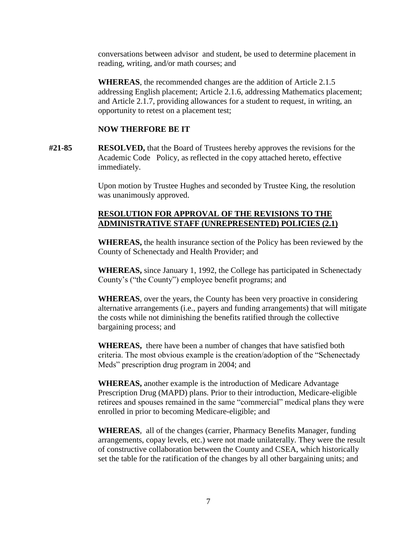conversations between advisor and student, be used to determine placement in reading, writing, and/or math courses; and

**WHEREAS**, the recommended changes are the addition of Article 2.1.5 addressing English placement; Article 2.1.6, addressing Mathematics placement; and Article 2.1.7, providing allowances for a student to request, in writing, an opportunity to retest on a placement test;

#### **NOW THERFORE BE IT**

**#21-85 RESOLVED,** that the Board of Trustees hereby approves the revisions for the Academic Code Policy, as reflected in the copy attached hereto, effective immediately.

> Upon motion by Trustee Hughes and seconded by Trustee King, the resolution was unanimously approved.

#### **RESOLUTION FOR APPROVAL OF THE REVISIONS TO THE ADMINISTRATIVE STAFF (UNREPRESENTED) POLICIES (2.1)**

**WHEREAS,** the health insurance section of the Policy has been reviewed by the County of Schenectady and Health Provider; and

**WHEREAS,** since January 1, 1992, the College has participated in Schenectady County's ("the County") employee benefit programs; and

**WHEREAS**, over the years, the County has been very proactive in considering alternative arrangements (i.e., payers and funding arrangements) that will mitigate the costs while not diminishing the benefits ratified through the collective bargaining process; and

**WHEREAS,** there have been a number of changes that have satisfied both criteria. The most obvious example is the creation/adoption of the "Schenectady Meds" prescription drug program in 2004; and

 retirees and spouses remained in the same "commercial" medical plans they were **WHEREAS,** another example is the introduction of Medicare Advantage Prescription Drug (MAPD) plans. Prior to their introduction, Medicare-eligible enrolled in prior to becoming Medicare-eligible; and

**WHEREAS**, all of the changes (carrier, Pharmacy Benefits Manager, funding arrangements, copay levels, etc.) were not made unilaterally. They were the result of constructive collaboration between the County and CSEA, which historically set the table for the ratification of the changes by all other bargaining units; and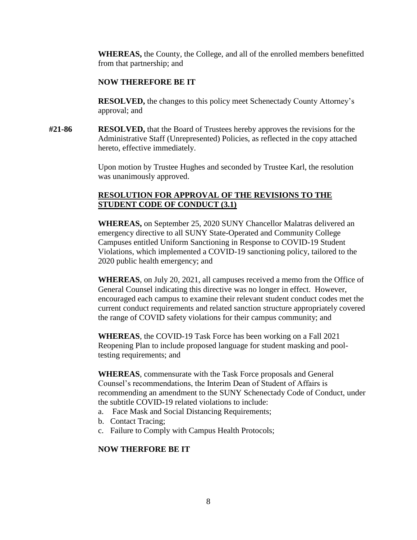**WHEREAS,** the County, the College, and all of the enrolled members benefitted from that partnership; and

#### **NOW THEREFORE BE IT**

**RESOLVED,** the changes to this policy meet Schenectady County Attorney's approval; and

**#21-86 RESOLVED,** that the Board of Trustees hereby approves the revisions for the Administrative Staff (Unrepresented) Policies, as reflected in the copy attached hereto, effective immediately.

> Upon motion by Trustee Hughes and seconded by Trustee Karl, the resolution was unanimously approved.

# **RESOLUTION FOR APPROVAL OF THE REVISIONS TO THE STUDENT CODE OF CONDUCT (3.1)**

**WHEREAS,** on September 25, 2020 SUNY Chancellor Malatras delivered an emergency directive to all SUNY State-Operated and Community College Campuses entitled Uniform Sanctioning in Response to COVID-19 Student Violations, which implemented a COVID-19 sanctioning policy, tailored to the 2020 public health emergency; and

**WHEREAS**, on July 20, 2021, all campuses received a memo from the Office of General Counsel indicating this directive was no longer in effect. However, encouraged each campus to examine their relevant student conduct codes met the current conduct requirements and related sanction structure appropriately covered the range of COVID safety violations for their campus community; and

**WHEREAS**, the COVID-19 Task Force has been working on a Fall 2021 Reopening Plan to include proposed language for student masking and pooltesting requirements; and

**WHEREAS**, commensurate with the Task Force proposals and General Counsel's recommendations, the Interim Dean of Student of Affairs is recommending an amendment to the SUNY Schenectady Code of Conduct, under the subtitle COVID-19 related violations to include:

- a. Face Mask and Social Distancing Requirements;
- b. Contact Tracing;
- c. Failure to Comply with Campus Health Protocols;

# **NOW THERFORE BE IT**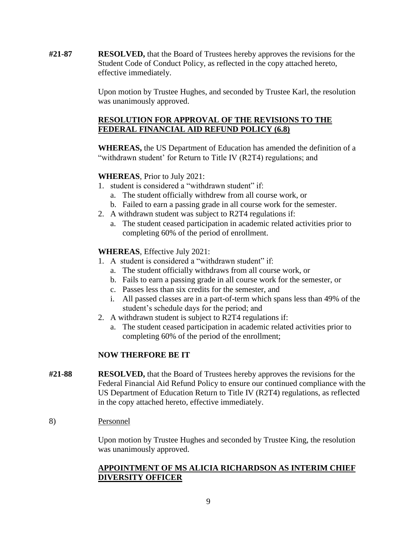**#21-87 RESOLVED,** that the Board of Trustees hereby approves the revisions for the Student Code of Conduct Policy, as reflected in the copy attached hereto, effective immediately.

> Upon motion by Trustee Hughes, and seconded by Trustee Karl, the resolution was unanimously approved.

# **RESOLUTION FOR APPROVAL OF THE REVISIONS TO THE FEDERAL FINANCIAL AID REFUND POLICY (6.8)**

**WHEREAS,** the US Department of Education has amended the definition of a "withdrawn student' for Return to Title IV (R2T4) regulations; and

# **WHEREAS**, Prior to July 2021:

- 1. student is considered a "withdrawn student" if:
	- a. The student officially withdrew from all course work, or
	- b. Failed to earn a passing grade in all course work for the semester.
- 2. A withdrawn student was subject to R2T4 regulations if:
	- a. The student ceased participation in academic related activities prior to completing 60% of the period of enrollment.

# **WHEREAS**, Effective July 2021:

- 1. A student is considered a "withdrawn student" if:
	- a. The student officially withdraws from all course work, or
	- b. Fails to earn a passing grade in all course work for the semester, or
	- c. Passes less than six credits for the semester, and
	- i. All passed classes are in a part-of-term which spans less than 49% of the student's schedule days for the period; and
- 2. A withdrawn student is subject to R2T4 regulations if:
	- a. The student ceased participation in academic related activities prior to completing 60% of the period of the enrollment;

# **NOW THERFORE BE IT**

- **#21-88 RESOLVED,** that the Board of Trustees hereby approves the revisions for the Federal Financial Aid Refund Policy to ensure our continued compliance with the US Department of Education Return to Title IV (R2T4) regulations, as reflected in the copy attached hereto, effective immediately.
- 8) Personnel

Upon motion by Trustee Hughes and seconded by Trustee King, the resolution was unanimously approved.

## **APPOINTMENT OF MS ALICIA RICHARDSON AS INTERIM CHIEF DIVERSITY OFFICER**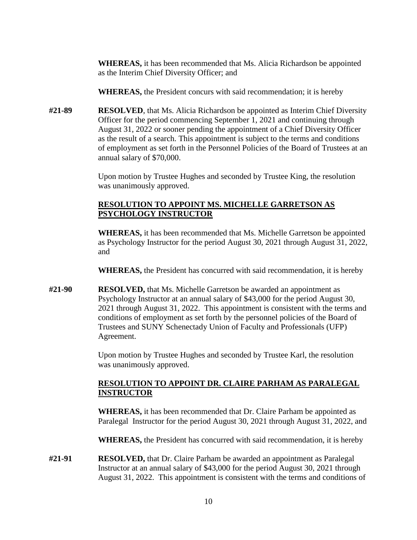**WHEREAS,** it has been recommended that Ms. Alicia Richardson be appointed as the Interim Chief Diversity Officer; and

**WHEREAS,** the President concurs with said recommendation; it is hereby

**#21-89 RESOLVED**, that Ms. Alicia Richardson be appointed as Interim Chief Diversity Officer for the period commencing September 1, 2021 and continuing through August 31, 2022 or sooner pending the appointment of a Chief Diversity Officer as the result of a search. This appointment is subject to the terms and conditions of employment as set forth in the Personnel Policies of the Board of Trustees at an annual salary of \$70,000.

> Upon motion by Trustee Hughes and seconded by Trustee King, the resolution was unanimously approved.

# **RESOLUTION TO APPOINT MS. MICHELLE GARRETSON AS PSYCHOLOGY INSTRUCTOR**

**WHEREAS,** it has been recommended that Ms. Michelle Garretson be appointed as Psychology Instructor for the period August 30, 2021 through August 31, 2022, and

**WHEREAS,** the President has concurred with said recommendation, it is hereby

**#21-90 RESOLVED,** that Ms. Michelle Garretson be awarded an appointment as Psychology Instructor at an annual salary of \$43,000 for the period August 30, 2021 through August 31, 2022. This appointment is consistent with the terms and conditions of employment as set forth by the personnel policies of the Board of Trustees and SUNY Schenectady Union of Faculty and Professionals (UFP) Agreement.

> Upon motion by Trustee Hughes and seconded by Trustee Karl, the resolution was unanimously approved.

# **RESOLUTION TO APPOINT DR. CLAIRE PARHAM AS PARALEGAL INSTRUCTOR**

**WHEREAS,** it has been recommended that Dr. Claire Parham be appointed as Paralegal Instructor for the period August 30, 2021 through August 31, 2022, and

**WHEREAS,** the President has concurred with said recommendation, it is hereby

**#21-91 RESOLVED,** that Dr. Claire Parham be awarded an appointment as Paralegal Instructor at an annual salary of \$43,000 for the period August 30, 2021 through August 31, 2022. This appointment is consistent with the terms and conditions of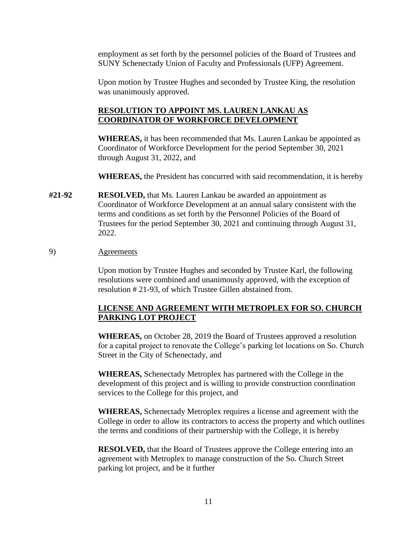employment as set forth by the personnel policies of the Board of Trustees and SUNY Schenectady Union of Faculty and Professionals (UFP) Agreement.

Upon motion by Trustee Hughes and seconded by Trustee King, the resolution was unanimously approved.

#### **RESOLUTION TO APPOINT MS. LAUREN LANKAU AS COORDINATOR OF WORKFORCE DEVELOPMENT**

**WHEREAS,** it has been recommended that Ms. Lauren Lankau be appointed as Coordinator of Workforce Development for the period September 30, 2021 through August 31, 2022, and

**WHEREAS,** the President has concurred with said recommendation, it is hereby

**#21-92 RESOLVED,** that Ms. Lauren Lankau be awarded an appointment as Coordinator of Workforce Development at an annual salary consistent with the terms and conditions as set forth by the Personnel Policies of the Board of Trustees for the period September 30, 2021 and continuing through August 31, 2022.

#### 9) Agreements

Upon motion by Trustee Hughes and seconded by Trustee Karl, the following resolutions were combined and unanimously approved, with the exception of resolution # 21-93, of which Trustee Gillen abstained from.

#### **LICENSE AND AGREEMENT WITH METROPLEX FOR SO. CHURCH PARKING LOT PROJECT**

**WHEREAS,** on October 28, 2019 the Board of Trustees approved a resolution for a capital project to renovate the College's parking lot locations on So. Church Street in the City of Schenectady, and

**WHEREAS,** Schenectady Metroplex has partnered with the College in the development of this project and is willing to provide construction coordination services to the College for this project, and

**WHEREAS,** Schenectady Metroplex requires a license and agreement with the College in order to allow its contractors to access the property and which outlines the terms and conditions of their partnership with the College, it is hereby

 **RESOLVED,** that the Board of Trustees approve the College entering into an agreement with Metroplex to manage construction of the So. Church Street parking lot project, and be it further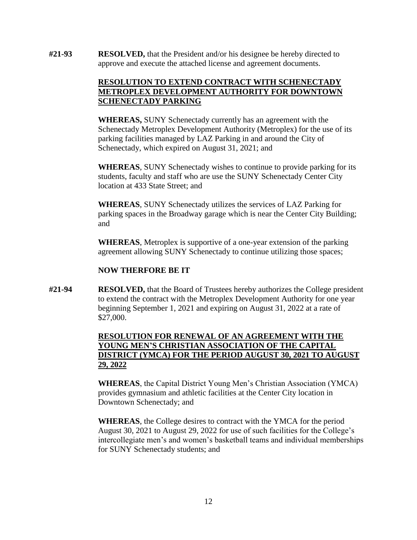**#21-93 RESOLVED,** that the President and/or his designee be hereby directed to approve and execute the attached license and agreement documents.

## **RESOLUTION TO EXTEND CONTRACT WITH SCHENECTADY METROPLEX DEVELOPMENT AUTHORITY FOR DOWNTOWN SCHENECTADY PARKING**

 parking facilities managed by LAZ Parking in and around the City of **WHEREAS,** SUNY Schenectady currently has an agreement with the Schenectady Metroplex Development Authority (Metroplex) for the use of its Schenectady, which expired on August 31, 2021; and

**WHEREAS**, SUNY Schenectady wishes to continue to provide parking for its students, faculty and staff who are use the SUNY Schenectady Center City location at 433 State Street; and

 **WHEREAS**, SUNY Schenectady utilizes the services of LAZ Parking for parking spaces in the Broadway garage which is near the Center City Building; and

**WHEREAS**, Metroplex is supportive of a one-year extension of the parking agreement allowing SUNY Schenectady to continue utilizing those spaces;

## **NOW THERFORE BE IT**

**#21-94 RESOLVED,** that the Board of Trustees hereby authorizes the College president to extend the contract with the Metroplex Development Authority for one year beginning September 1, 2021 and expiring on August 31, 2022 at a rate of \$27,000.

# **RESOLUTION FOR RENEWAL OF AN AGREEMENT WITH THE YOUNG MEN'S CHRISTIAN ASSOCIATION OF THE CAPITAL DISTRICT (YMCA) FOR THE PERIOD AUGUST 30, 2021 TO AUGUST 29, 2022**

**WHEREAS**, the Capital District Young Men's Christian Association (YMCA) provides gymnasium and athletic facilities at the Center City location in Downtown Schenectady; and

**WHEREAS**, the College desires to contract with the YMCA for the period August 30, 2021 to August 29, 2022 for use of such facilities for the College's intercollegiate men's and women's basketball teams and individual memberships for SUNY Schenectady students; and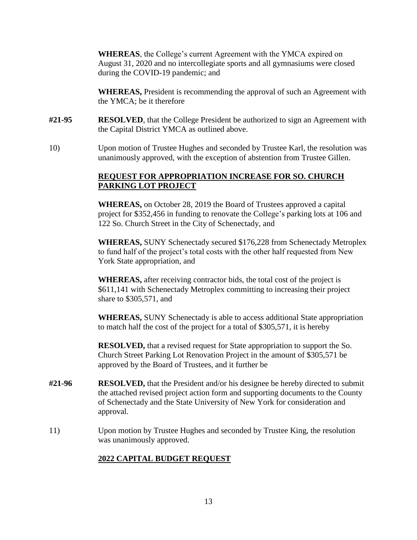**WHEREAS**, the College's current Agreement with the YMCA expired on August 31, 2020 and no intercollegiate sports and all gymnasiums were closed during the COVID-19 pandemic; and

**WHEREAS,** President is recommending the approval of such an Agreement with the YMCA; be it therefore

- **#21-95 RESOLVED**, that the College President be authorized to sign an Agreement with the Capital District YMCA as outlined above.
- 10) Upon motion of Trustee Hughes and seconded by Trustee Karl, the resolution was unanimously approved, with the exception of abstention from Trustee Gillen.

## **REQUEST FOR APPROPRIATION INCREASE FOR SO. CHURCH PARKING LOT PROJECT**

**WHEREAS,** on October 28, 2019 the Board of Trustees approved a capital project for \$352,456 in funding to renovate the College's parking lots at 106 and 122 So. Church Street in the City of Schenectady, and

**WHEREAS,** SUNY Schenectady secured \$176,228 from Schenectady Metroplex to fund half of the project's total costs with the other half requested from New York State appropriation, and

**WHEREAS,** after receiving contractor bids, the total cost of the project is \$611,141 with Schenectady Metroplex committing to increasing their project share to \$305,571, and

**WHEREAS,** SUNY Schenectady is able to access additional State appropriation to match half the cost of the project for a total of \$305,571, it is hereby

**RESOLVED,** that a revised request for State appropriation to support the So. Church Street Parking Lot Renovation Project in the amount of \$305,571 be approved by the Board of Trustees, and it further be

- **#21-96 RESOLVED,** that the President and/or his designee be hereby directed to submit the attached revised project action form and supporting documents to the County of Schenectady and the State University of New York for consideration and approval.
- 11) Upon motion by Trustee Hughes and seconded by Trustee King, the resolution was unanimously approved.

# **2022 CAPITAL BUDGET REQUEST**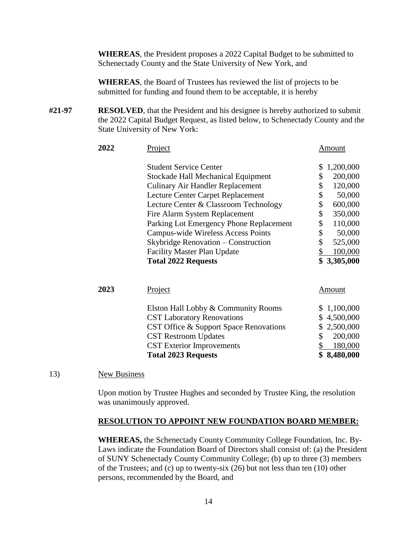**WHEREAS**, the President proposes a 2022 Capital Budget to be submitted to Schenectady County and the State University of New York, and

**WHEREAS**, the Board of Trustees has reviewed the list of projects to be submitted for funding and found them to be acceptable, it is hereby

**#21-97 RESOLVED**, that the President and his designee is hereby authorized to submit the 2022 Capital Budget Request, as listed below, to Schenectady County and the State University of New York:

| 2022 | <b>Project</b>                            | Amount          |
|------|-------------------------------------------|-----------------|
|      | <b>Student Service Center</b>             | 1,200,000<br>\$ |
|      | <b>Stockade Hall Mechanical Equipment</b> | \$<br>200,000   |
|      | <b>Culinary Air Handler Replacement</b>   | \$<br>120,000   |
|      | <b>Lecture Center Carpet Replacement</b>  | \$<br>50,000    |
|      | Lecture Center & Classroom Technology     | \$<br>600,000   |
|      | Fire Alarm System Replacement             | \$<br>350,000   |
|      | Parking Lot Emergency Phone Replacement   | \$<br>110,000   |
|      | Campus-wide Wireless Access Points        | \$<br>50,000    |
|      | Skybridge Renovation – Construction       | \$<br>525,000   |
|      | <b>Facility Master Plan Update</b>        | 100,000<br>\$   |
|      | <b>Total 2022 Requests</b>                | \$3,305,000     |
|      |                                           |                 |
| 2023 | <b>Project</b>                            | Amount          |
|      | Elston Hall Lobby & Community Rooms       | \$1,100,000     |
|      | <b>CST Laboratory Renovations</b>         | \$4,500,000     |
|      | CST Office & Support Space Renovations    | 2,500,000<br>\$ |
|      | <b>CST Restroom Updates</b>               | \$<br>200,000   |
|      | <b>CST</b> Exterior Improvements          | 180,000<br>\$   |
|      | <b>Total 2023 Requests</b>                | \$8,480,000     |
|      |                                           |                 |

13) New Business

Upon motion by Trustee Hughes and seconded by Trustee King, the resolution was unanimously approved.

 **RESOLUTION TO APPOINT NEW FOUNDATION BOARD MEMBER: WHEREAS,** the Schenectady County Community College Foundation, Inc. By-**WHEREAS, the Schenectady County Community College Foundation, Inc. By-**Laws indicate the Foundation Board of Directors shall consist of: (a) the President of SUNY Schenectady County Community College; (b) up to three (3) members of the Trustees; and (c) up to twenty-six (26) but not less than ten (10) other persons, recommended by the Board, and